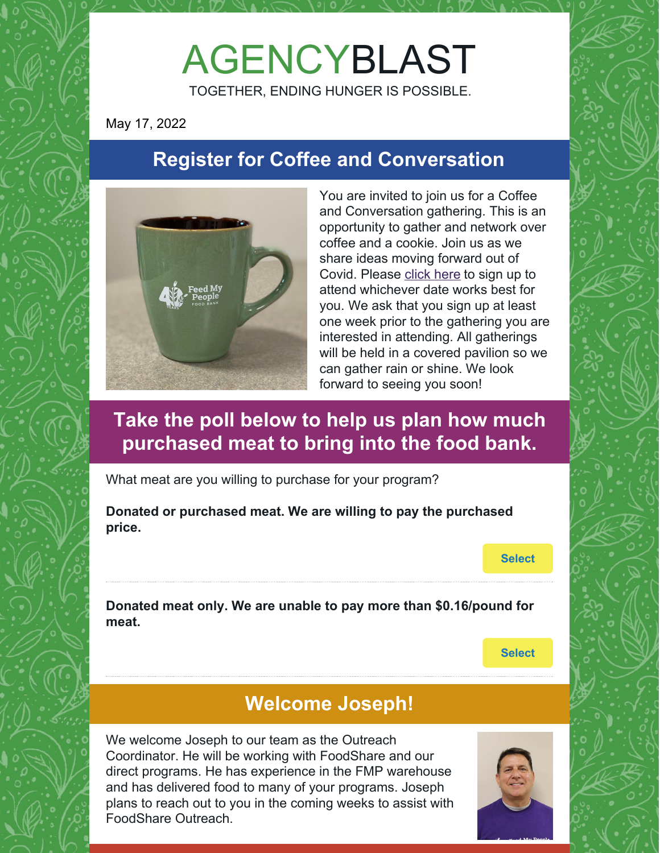# AGENCYBLAST

TOGETHER, ENDING HUNGER IS POSSIBLE.

May 17, 2022

# **Register for Coffee and Conversation**



You are invited to join us for a Coffee and Conversation gathering. This is an opportunity to gather and network over coffee and a cookie. Join us as we share ideas moving forward out of Covid. Please [click](https://www.signupgenius.com/go/10C0F4DA8AA2FA6F8CE9-coffee) here to sign up to attend whichever date works best for you. We ask that you sign up at least one week prior to the gathering you are interested in attending. All gatherings will be held in a covered pavilion so we can gather rain or shine. We look forward to seeing you soon!

## **Take the poll below to help us plan how much purchased meat to bring into the food bank.**

What meat are you willing to purchase for your program?

**Donated or purchased meat. We are willing to pay the purchased price.**

**[Select](https://campaignlp.constantcontact.com/forms/response?id=CfxRbYTNrV1dCgTYmsuQJeEO6y22zC6II2FrQtUjARm-fKmbVDjV-GH4B_b8DT_gubNvOR0VgdoztLpWpdprah5Iuu31byu3dvgzHGI9zh8GBemNdAtQWR0Lw8SXYU_dAxtRiXiwmcwZXMkn1PNIXKeZmi8vkrM128X5vp-p6FHxolD7tW8Hjsa7OY2rc2_NuzWk_BooTyXFYMefTsr-aw&encVer=1&c=&ch=)**

**Donated meat only. We are unable to pay more than \$0.16/pound for meat.**

**[Select](https://campaignlp.constantcontact.com/forms/response?id=CfxRbYTNrV1dCgTYmsuQJeEO6y22zC6II2FrQtUjARm-fKmbVDjV-GH4B_b8DT_gubNvOR0VgdoztLpWpdprah5Iuu31byu3dvgzHGI9zh8GBemNdAtQWR0Lw8SXYU_dAxtRiXiwmcwZXMkn1PNIXKeZmi8vkrM128X5vp-p6FHxolD7tW8Hjsa7OY2rc2_NuzWk_BooTyXXN6S9LkQxSg&encVer=1&c=&ch=)**

# **Welcome Joseph!**

We welcome Joseph to our team as the Outreach Coordinator. He will be working with FoodShare and our direct programs. He has experience in the FMP warehouse and has delivered food to many of your programs. Joseph plans to reach out to you in the coming weeks to assist with FoodShare Outreach.

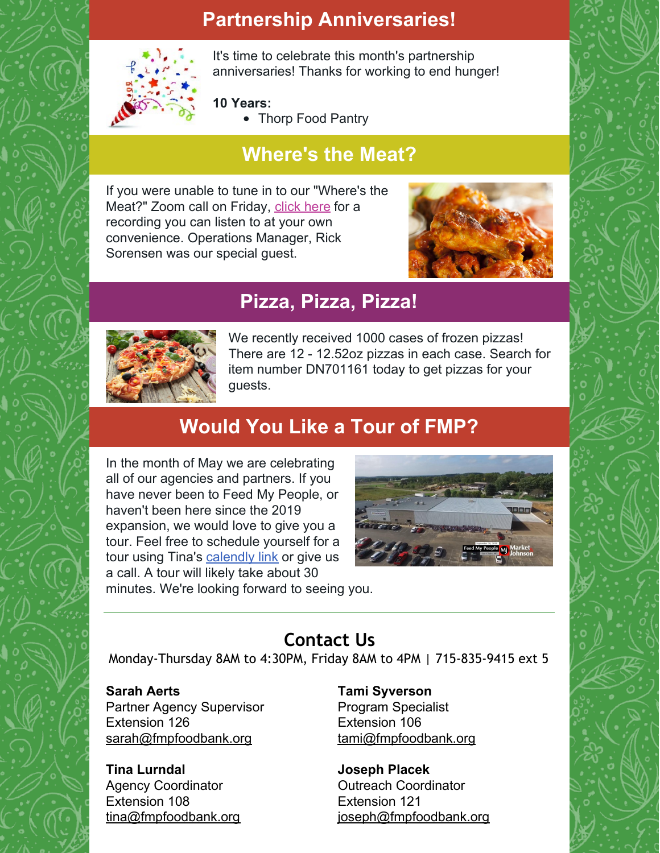## **Partnership Anniversaries!**



It's time to celebrate this month's partnership anniversaries! Thanks for working to end hunger!

#### **10 Years:**

• Thorp Food Pantry

# **Where's the Meat?**

If you were unable to tune in to our "Where's the Meat?" Zoom call on Friday, [click](https://youtu.be/Xob8BT9RUSE) here for a recording you can listen to at your own convenience. Operations Manager, Rick Sorensen was our special guest.



### **Pizza, Pizza, Pizza!**



We recently received 1000 cases of frozen pizzas! There are 12 - 12.52oz pizzas in each case. Search for item number DN701161 today to get pizzas for your guests.

# **Would You Like a Tour of FMP?**

In the month of May we are celebrating all of our agencies and partners. If you have never been to Feed My People, or haven't been here since the 2019 expansion, we would love to give you a tour. Feel free to schedule yourself for a tour using Tina's [calendly](https://calendly.com/tina--108/feed-my-people-agencytours) link or give us a call. A tour will likely take about 30



minutes. We're looking forward to seeing you.

### **Contact Us**

Monday-Thursday 8AM to 4:30PM, Friday 8AM to 4PM | 715-835-9415 ext 5

#### **Sarah Aerts**

Partner Agency Supervisor Extension 126 [sarah@fmpfoodbank.org](mailto:sarah@fmpfoodbank.org)

**Tina Lurndal** Agency Coordinator Extension 108 [tina@fmpfoodbank.org](mailto:leah@fmpfoodbank.org) **Tami Syverson** Program Specialist Extension 106 [tami@fmpfoodbank.org](mailto:tami@fmpfoodbank.org)

**Joseph Placek** Outreach Coordinator Extension 121 [joseph@fmpfoodbank.org](mailto:joseph@fmpfoodbank.org)